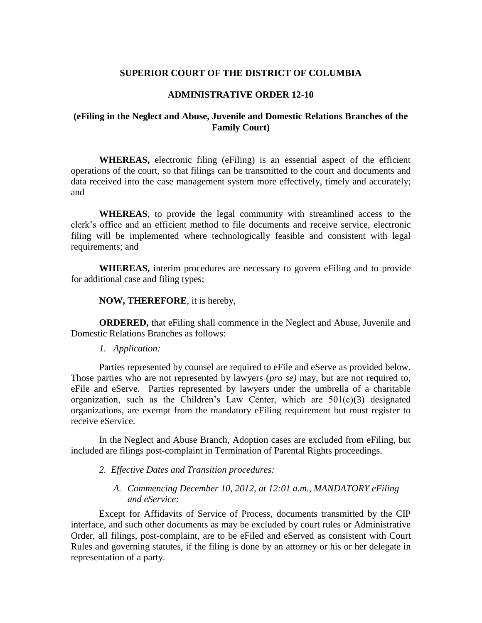## **SUPERIOR COURT OF THE DISTRICT OF COLUMBIA**

## **ADMINISTRATIVE ORDER 12-10**

# **(eFiling in the Neglect and Abuse, Juvenile and Domestic Relations Branches of the Family Court)**

**WHEREAS,** electronic filing (eFiling) is an essential aspect of the efficient operations of the court, so that filings can be transmitted to the court and documents and data received into the case management system more effectively, timely and accurately; and

**WHEREAS**, to provide the legal community with streamlined access to the clerk's office and an efficient method to file documents and receive service, electronic filing will be implemented where technologically feasible and consistent with legal requirements; and

**WHEREAS,** interim procedures are necessary to govern eFiling and to provide for additional case and filing types;

### **NOW, THEREFORE**, it is hereby,

**ORDERED,** that eFiling shall commence in the Neglect and Abuse, Juvenile and Domestic Relations Branches as follows:

#### *1. Application:*

Parties represented by counsel are required to eFile and eServe as provided below. Those parties who are not represented by lawyers (*pro se)* may, but are not required to, eFile and eServe. Parties represented by lawyers under the umbrella of a charitable organization, such as the Children's Law Center, which are  $501(c)(3)$  designated organizations, are exempt from the mandatory eFiling requirement but must register to receive eService.

In the Neglect and Abuse Branch, Adoption cases are excluded from eFiling, but included are filings post-complaint in Termination of Parental Rights proceedings.

*2. Effective Dates and Transition procedures:* 

## *A. Commencing December 10, 2012, at 12:01 a.m., MANDATORY eFiling and eService:*

Except for Affidavits of Service of Process, documents transmitted by the CIP interface, and such other documents as may be excluded by court rules or Administrative Order, all filings, post-complaint, are to be eFiled and eServed as consistent with Court Rules and governing statutes, if the filing is done by an attorney or his or her delegate in representation of a party.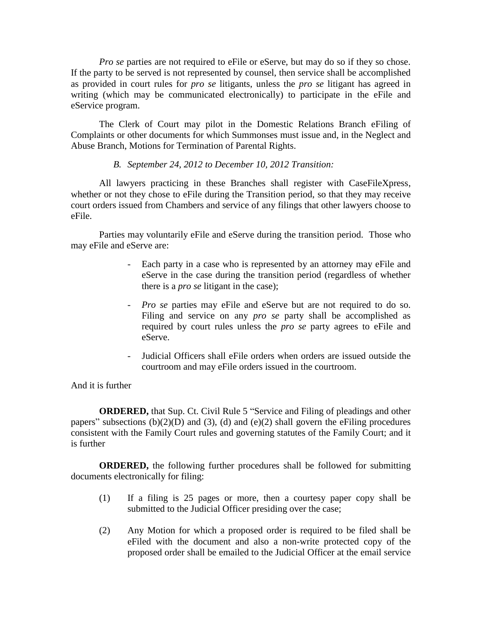*Pro se* parties are not required to eFile or eServe, but may do so if they so chose. If the party to be served is not represented by counsel, then service shall be accomplished as provided in court rules for *pro se* litigants, unless the *pro se* litigant has agreed in writing (which may be communicated electronically) to participate in the eFile and eService program.

The Clerk of Court may pilot in the Domestic Relations Branch eFiling of Complaints or other documents for which Summonses must issue and, in the Neglect and Abuse Branch, Motions for Termination of Parental Rights.

# *B. September 24, 2012 to December 10, 2012 Transition:*

All lawyers practicing in these Branches shall register with CaseFileXpress, whether or not they chose to eFile during the Transition period, so that they may receive court orders issued from Chambers and service of any filings that other lawyers choose to eFile.

Parties may voluntarily eFile and eServe during the transition period. Those who may eFile and eServe are:

- Each party in a case who is represented by an attorney may eFile and eServe in the case during the transition period (regardless of whether there is a *pro se* litigant in the case);
- *Pro se* parties may eFile and eServe but are not required to do so. Filing and service on any *pro se* party shall be accomplished as required by court rules unless the *pro se* party agrees to eFile and eServe.
- Judicial Officers shall eFile orders when orders are issued outside the courtroom and may eFile orders issued in the courtroom.

## And it is further

**ORDERED,** that Sup. Ct. Civil Rule 5 "Service and Filing of pleadings and other papers" subsections (b)(2)(D) and (3), (d) and (e)(2) shall govern the eFiling procedures consistent with the Family Court rules and governing statutes of the Family Court; and it is further

**ORDERED,** the following further procedures shall be followed for submitting documents electronically for filing:

- (1) If a filing is 25 pages or more, then a courtesy paper copy shall be submitted to the Judicial Officer presiding over the case;
- (2) Any Motion for which a proposed order is required to be filed shall be eFiled with the document and also a non-write protected copy of the proposed order shall be emailed to the Judicial Officer at the email service